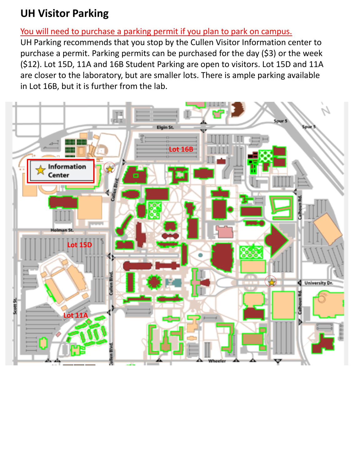## **UH Visitor Parking**

#### You will need to purchase a parking permit if you plan to park on campus.

UH Parking recommends that you stop by the Cullen Visitor Information center to purchase a permit. Parking permits can be purchased for the day (\$3) or the week (\$12). Lot 15D, 11A and 16B Student Parking are open to visitors. Lot 15D and 11A are closer to the laboratory, but are smaller lots. There is ample parking available in Lot 16B, but it is further from the lab.

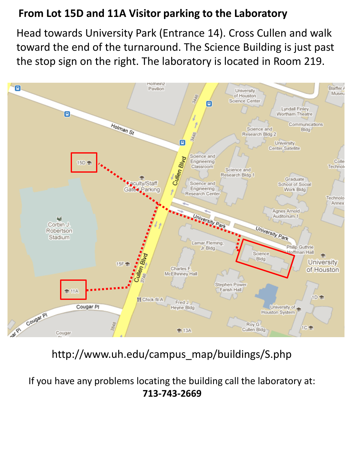## **From Lot 15D and 11A Visitor parking to the Laboratory**

Head towards University Park (Entrance 14). Cross Cullen and walk toward the end of the turnaround. The Science Building is just past the stop sign on the right. The laboratory is located in Room 219.



# http://www.uh.edu/campus\_map/buildings/S.php

If you have any problems locating the building call the laboratory at: **713-743-2669**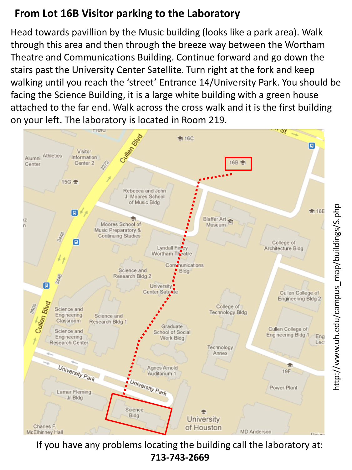## **From Lot 16B Visitor parking to the Laboratory**

Head towards pavillion by the Music building (looks like a park area). Walk through this area and then through the breeze way between the Wortham Theatre and Communications Building. Continue forward and go down the stairs past the University Center Satellite. Turn right at the fork and keep walking until you reach the 'street' Entrance 14/University Park. You should be facing the Science Building, it is a large white building with a green house attached to the far end. Walk across the cross walk and it is the first building on your left. The laboratory is located in Room 219.



If you have any problems locating the building call the laboratory at: **713-743-2669**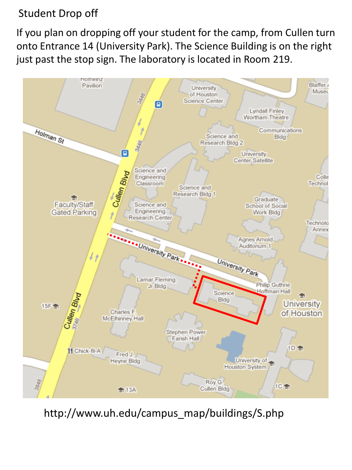#### Student Drop off

If you plan on dropping off your student for the camp, from Cullen turn onto Entrance 14 (University Park). The Science Building is on the right just past the stop sign. The laboratory is located in Room 219.



http://www.uh.edu/campus\_map/buildings/S.php